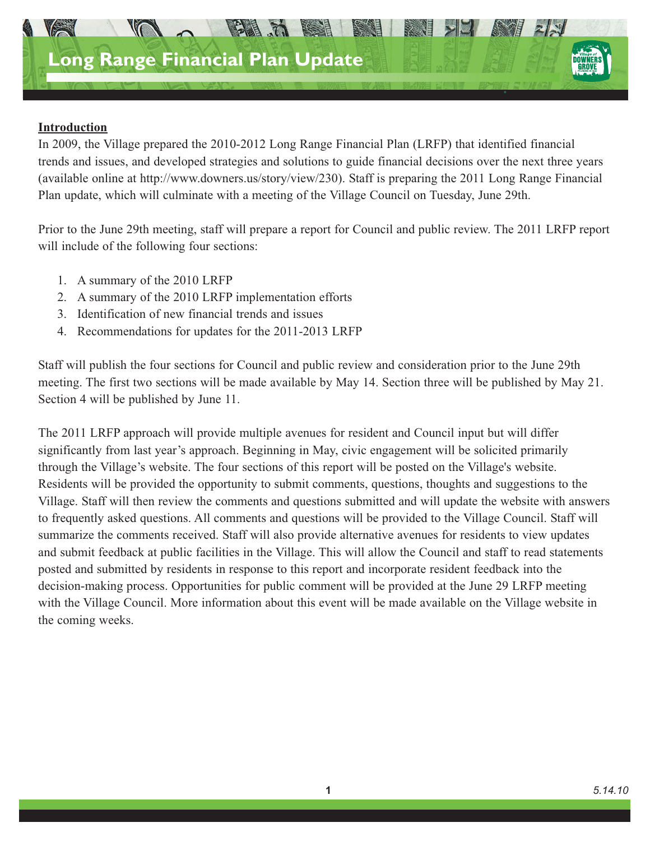

### **Introduction**

In 2009, the Village prepared the 2010-2012 Long Range Financial Plan (LRFP) that identified financial trends and issues, and developed strategies and solutions to guide financial decisions over the next three years (available online at http://www.downers.us/story/view/230). Staff is preparing the 2011 Long Range Financial Plan update, which will culminate with a meeting of the Village Council on Tuesday, June 29th.

Prior to the June 29th meeting, staff will prepare a report for Council and public review. The 2011 LRFP report will include of the following four sections:

- 1. A summary of the 2010 LRFP
- 2. A summary of the 2010 LRFP implementation efforts
- 3. Identification of new financial trends and issues
- 4. Recommendations for updates for the 2011-2013 LRFP

Staff will publish the four sections for Council and public review and consideration prior to the June 29th meeting. The first two sections will be made available by May 14. Section three will be published by May 21. Section 4 will be published by June 11.

The 2011 LRFP approach will provide multiple avenues for resident and Council input but will differ significantly from last year's approach. Beginning in May, civic engagement will be solicited primarily through the Village's website. The four sections of this report will be posted on the Village's website. Residents will be provided the opportunity to submit comments, questions, thoughts and suggestions to the Village. Staff will then review the comments and questions submitted and will update the website with answers to frequently asked questions. All comments and questions will be provided to the Village Council. Staff will summarize the comments received. Staff will also provide alternative avenues for residents to view updates and submit feedback at public facilities in the Village. This will allow the Council and staff to read statements posted and submitted by residents in response to this report and incorporate resident feedback into the decision-making process. Opportunities for public comment will be provided at the June 29 LRFP meeting with the Village Council. More information about this event will be made available on the Village website in the coming weeks.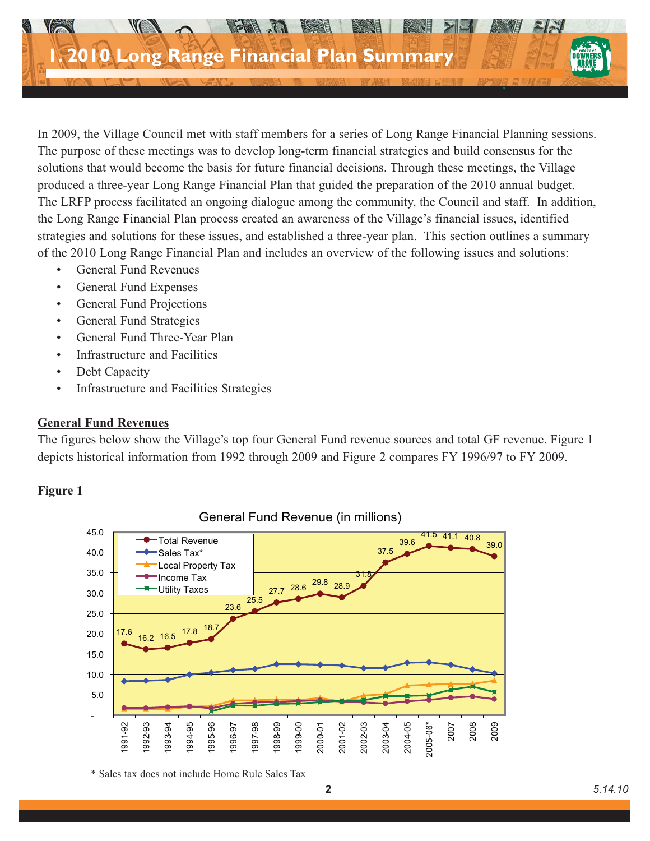

In 2009, the Village Council met with staff members for a series of Long Range Financial Planning sessions. The purpose of these meetings was to develop long-term financial strategies and build consensus for the solutions that would become the basis for future financial decisions. Through these meetings, the Village produced a three-year Long Range Financial Plan that guided the preparation of the 2010 annual budget. The LRFP process facilitated an ongoing dialogue among the community, the Council and staff. In addition, the Long Range Financial Plan process created an awareness of the Village's financial issues, identified strategies and solutions for these issues, and established a three-year plan. This section outlines a summary of the 2010 Long Range Financial Plan and includes an overview of the following issues and solutions:

- General Fund Revenues
- General Fund Expenses
- General Fund Projections
- General Fund Strategies
- General Fund Three-Year Plan
- Infrastructure and Facilities
- Debt Capacity
- Infrastructure and Facilities Strategies

### **General Fund Revenues**

The figures below show the Village's top four General Fund revenue sources and total GF revenue. Figure 1 depicts historical information from 1992 through 2009 and Figure 2 compares FY 1996/97 to FY 2009.

# **Figure 1**



General Fund Revenue (in millions)

<sup>\*</sup> Sales tax does not include Home Rule Sales Tax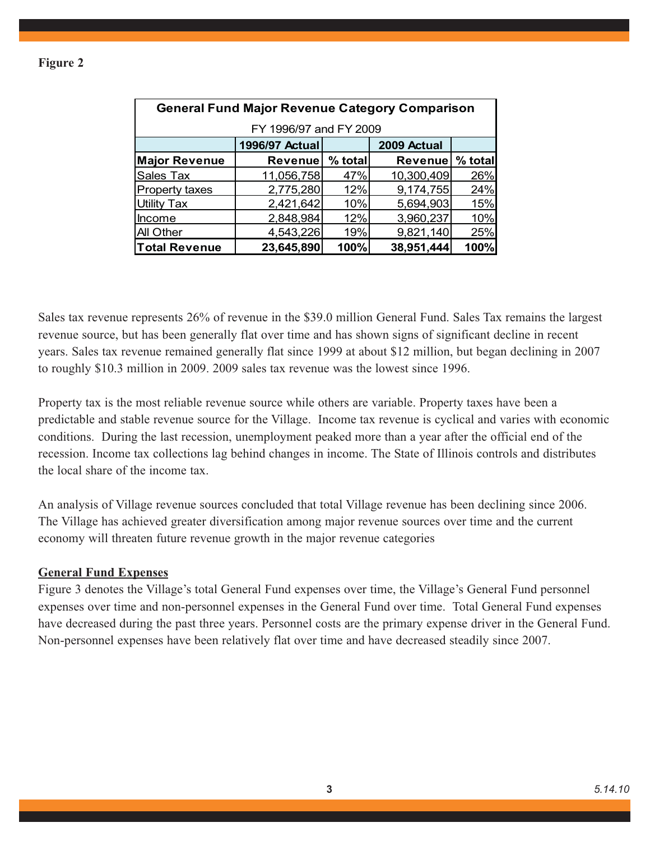| <b>General Fund Major Revenue Category Comparison</b> |                 |         |                |         |  |  |  |  |  |
|-------------------------------------------------------|-----------------|---------|----------------|---------|--|--|--|--|--|
| FY 1996/97 and FY 2009                                |                 |         |                |         |  |  |  |  |  |
|                                                       | 1996/97 Actual  |         | 2009 Actual    |         |  |  |  |  |  |
| <b>Major Revenue</b>                                  | <b>Revenuel</b> | % total | <b>Revenue</b> | % total |  |  |  |  |  |
| Sales Tax                                             | 11,056,758      | 47%     | 10,300,409     | 26%     |  |  |  |  |  |
| <b>Property taxes</b>                                 | 2,775,280       | 12%     | 9,174,755      | 24%     |  |  |  |  |  |
| <b>Utility Tax</b>                                    | 2,421,642       | 10%     | 5,694,903      | 15%     |  |  |  |  |  |
| <b>Income</b>                                         | 2,848,984       | 12%     | 3,960,237      | 10%     |  |  |  |  |  |
| All Other                                             | 4,543,226       | 19%     | 9,821,140      | 25%     |  |  |  |  |  |
| <b>Total Revenue</b>                                  | 23,645,890      | 100%    | 38,951,444     | 100%    |  |  |  |  |  |

Sales tax revenue represents 26% of revenue in the \$39.0 million General Fund. Sales Tax remains the largest revenue source, but has been generally flat over time and has shown signs of significant decline in recent years. Sales tax revenue remained generally flat since 1999 at about \$12 million, but began declining in 2007 to roughly \$10.3 million in 2009. 2009 sales tax revenue was the lowest since 1996.

Property tax is the most reliable revenue source while others are variable. Property taxes have been a predictable and stable revenue source for the Village. Income tax revenue is cyclical and varies with economic conditions. During the last recession, unemployment peaked more than a year after the official end of the recession. Income tax collections lag behind changes in income. The State of Illinois controls and distributes the local share of the income tax.

An analysis of Village revenue sources concluded that total Village revenue has been declining since 2006. The Village has achieved greater diversification among major revenue sources over time and the current economy will threaten future revenue growth in the major revenue categories

### **General Fund Expenses**

Figure 3 denotes the Village's total General Fund expenses over time, the Village's General Fund personnel expenses over time and non-personnel expenses in the General Fund over time. Total General Fund expenses have decreased during the past three years. Personnel costs are the primary expense driver in the General Fund. Non-personnel expenses have been relatively flat over time and have decreased steadily since 2007.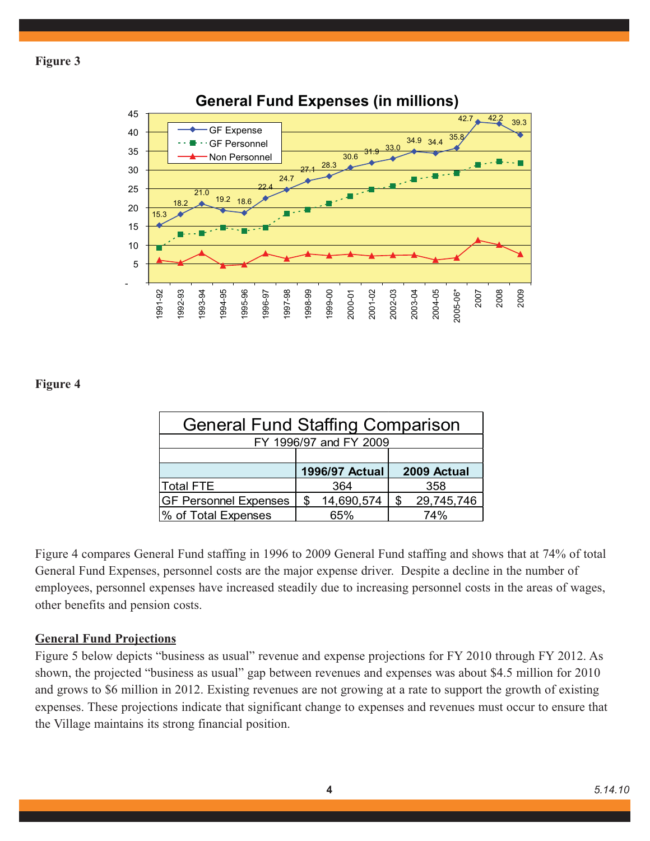

# **General Fund Expenses (in millions)**

**Figure 4**

| <b>General Fund Staffing Comparison</b> |    |                |    |             |  |  |
|-----------------------------------------|----|----------------|----|-------------|--|--|
| FY 1996/97 and FY 2009                  |    |                |    |             |  |  |
|                                         |    |                |    |             |  |  |
|                                         |    | 1996/97 Actual |    | 2009 Actual |  |  |
| Total FTE                               |    | 364            |    | 358         |  |  |
| <b>GF Personnel Expenses</b>            | \$ | 14,690,574     | \$ | 29,745,746  |  |  |
| % of Total Expenses                     |    | 65%            |    | 74%         |  |  |

Figure 4 compares General Fund staffing in 1996 to 2009 General Fund staffing and shows that at 74% of total General Fund Expenses, personnel costs are the major expense driver. Despite a decline in the number of employees, personnel expenses have increased steadily due to increasing personnel costs in the areas of wages, other benefits and pension costs.

# **General Fund Projections**

Figure 5 below depicts "business as usual" revenue and expense projections for FY 2010 through FY 2012. As shown, the projected "business as usual" gap between revenues and expenses was about \$4.5 million for 2010 and grows to \$6 million in 2012. Existing revenues are not growing at a rate to support the growth of existing expenses. These projections indicate that significant change to expenses and revenues must occur to ensure that the Village maintains its strong financial position.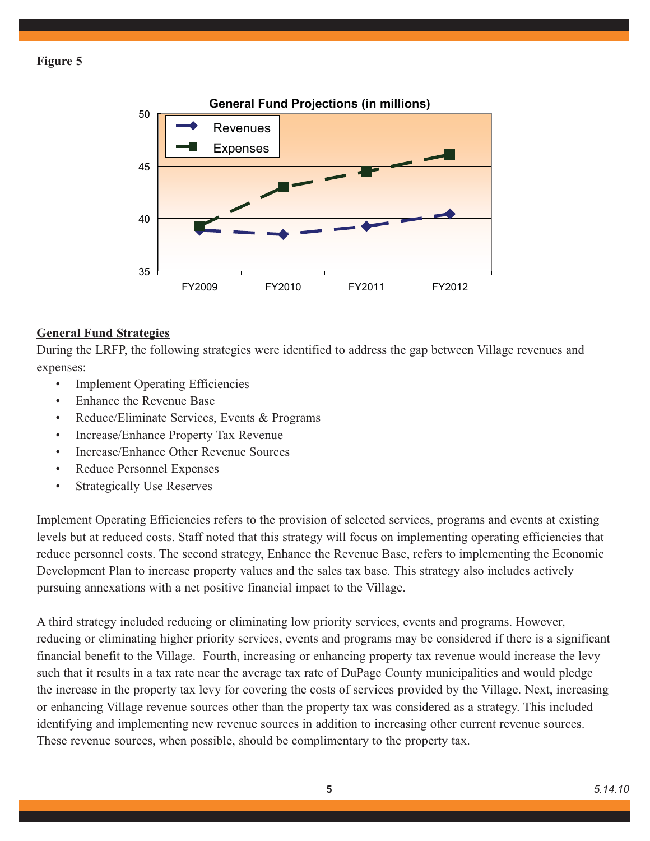

# **General Fund Strategies**

During the LRFP, the following strategies were identified to address the gap between Village revenues and expenses:

- **Implement Operating Efficiencies**
- Enhance the Revenue Base
- Reduce/Eliminate Services, Events & Programs
- Increase/Enhance Property Tax Revenue
- Increase/Enhance Other Revenue Sources
- Reduce Personnel Expenses
- Strategically Use Reserves

Implement Operating Efficiencies refers to the provision of selected services, programs and events at existing levels but at reduced costs. Staff noted that this strategy will focus on implementing operating efficiencies that reduce personnel costs. The second strategy, Enhance the Revenue Base, refers to implementing the Economic Development Plan to increase property values and the sales tax base. This strategy also includes actively pursuing annexations with a net positive financial impact to the Village.

A third strategy included reducing or eliminating low priority services, events and programs. However, reducing or eliminating higher priority services, events and programs may be considered if there is a significant financial benefit to the Village. Fourth, increasing or enhancing property tax revenue would increase the levy such that it results in a tax rate near the average tax rate of DuPage County municipalities and would pledge the increase in the property tax levy for covering the costs of services provided by the Village. Next, increasing or enhancing Village revenue sources other than the property tax was considered as a strategy. This included identifying and implementing new revenue sources in addition to increasing other current revenue sources. These revenue sources, when possible, should be complimentary to the property tax.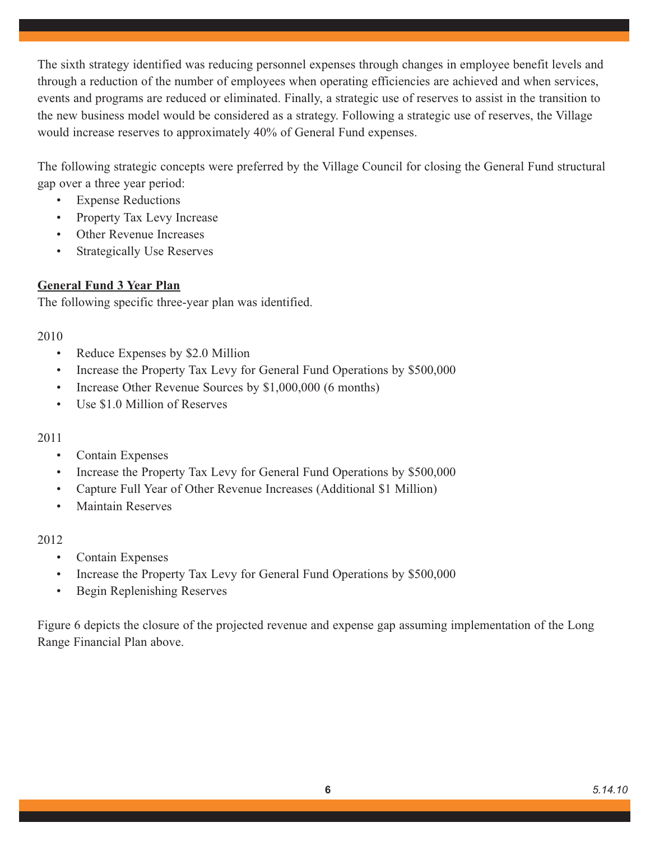The sixth strategy identified was reducing personnel expenses through changes in employee benefit levels and through a reduction of the number of employees when operating efficiencies are achieved and when services, events and programs are reduced or eliminated. Finally, a strategic use of reserves to assist in the transition to the new business model would be considered as a strategy. Following a strategic use of reserves, the Village would increase reserves to approximately 40% of General Fund expenses.

The following strategic concepts were preferred by the Village Council for closing the General Fund structural gap over a three year period:

- Expense Reductions
- Property Tax Levy Increase
- Other Revenue Increases
- Strategically Use Reserves

# **General Fund 3 Year Plan**

The following specific three-year plan was identified.

### 2010

- Reduce Expenses by \$2.0 Million
- Increase the Property Tax Levy for General Fund Operations by \$500,000
- Increase Other Revenue Sources by \$1,000,000 (6 months)
- Use \$1.0 Million of Reserves

### 2011

- Contain Expenses
- Increase the Property Tax Levy for General Fund Operations by \$500,000
- Capture Full Year of Other Revenue Increases (Additional \$1 Million)
- Maintain Reserves

### 2012

- Contain Expenses
- Increase the Property Tax Levy for General Fund Operations by \$500,000
- Begin Replenishing Reserves

Figure 6 depicts the closure of the projected revenue and expense gap assuming implementation of the Long Range Financial Plan above.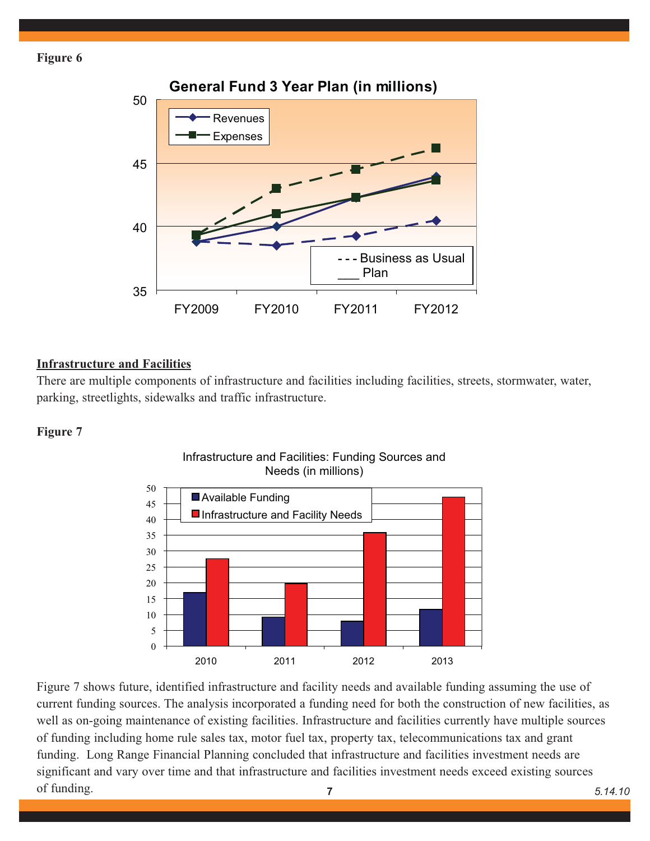

# **Infrastructure and Facilities**

There are multiple components of infrastructure and facilities including facilities, streets, stormwater, water, parking, streetlights, sidewalks and traffic infrastructure.

#### **Figure 7**



# Infrastructure and Facilities: Funding Sources and Needs (in millions)

Figure 7 shows future, identified infrastructure and facility needs and available funding assuming the use of current funding sources. The analysis incorporated a funding need for both the construction of new facilities, as well as on-going maintenance of existing facilities. Infrastructure and facilities currently have multiple sources of funding including home rule sales tax, motor fuel tax, property tax, telecommunications tax and grant funding. Long Range Financial Planning concluded that infrastructure and facilities investment needs are significant and vary over time and that infrastructure and facilities investment needs exceed existing sources of funding. **7** *5.14.10*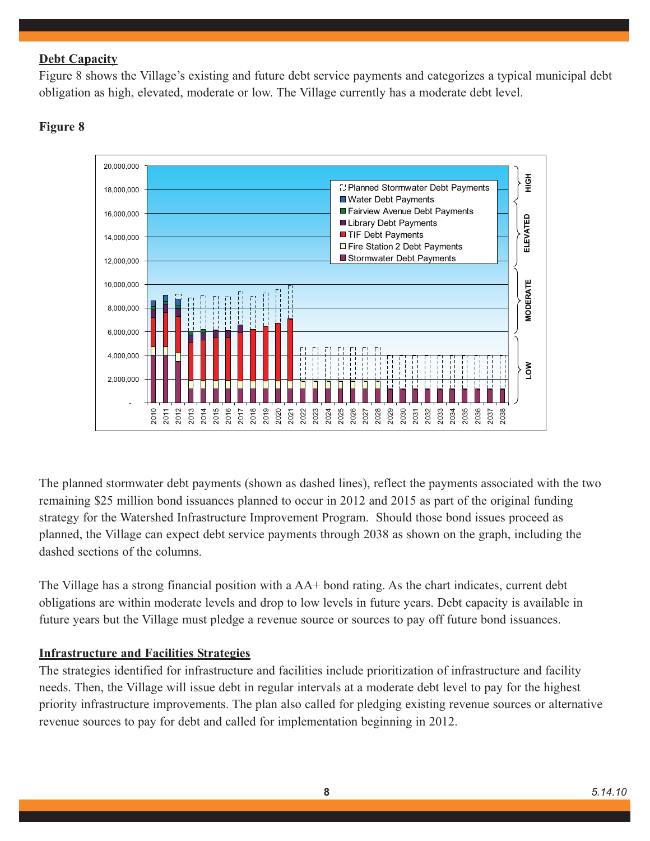# **Debt Capacity**

Figure 8 shows the Village's existing and future debt service payments and categorizes a typical municipal debt obligation as high, elevated, moderate or low. The Village currently has a moderate debt level.



# **Figure 8**

The planned stormwater debt payments (shown as dashed lines), reflect the payments associated with the two remaining \$25 million bond issuances planned to occur in 2012 and 2015 as part of the original funding strategy for the Watershed Infrastructure Improvement Program. Should those bond issues proceed as planned, the Village can expect debt service payments through 2038 as shown on the graph, including the dashed sections of the columns.

The Village has a strong financial position with a AA+ bond rating. As the chart indicates, current debt obligations are within moderate levels and drop to low levels in future years. Debt capacity is available in future years but the Village must pledge a revenue source or sources to pay off future bond issuances.

# **Infrastructure and Facilities Strategies**

The strategies identified for infrastructure and facilities include prioritization of infrastructure and facility needs. Then, the Village will issue debt in regular intervals at a moderate debt level to pay for the highest priority infrastructure improvements. The plan also called for pledging existing revenue sources or alternative revenue sources to pay for debt and called for implementation beginning in 2012.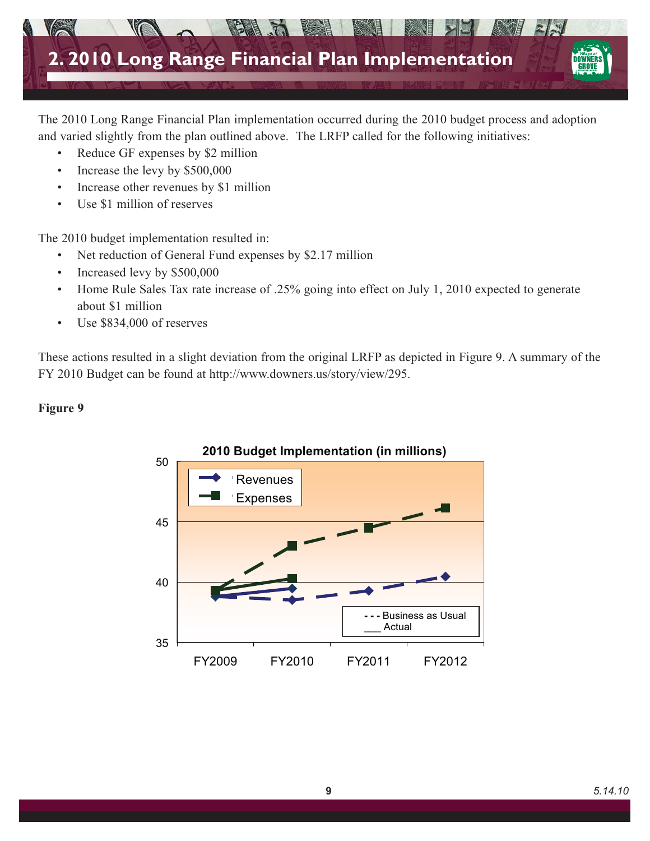

The 2010 Long Range Financial Plan implementation occurred during the 2010 budget process and adoption and varied slightly from the plan outlined above. The LRFP called for the following initiatives:

- Reduce GF expenses by \$2 million
- Increase the levy by \$500,000
- Increase other revenues by \$1 million
- Use \$1 million of reserves

The 2010 budget implementation resulted in:

- Net reduction of General Fund expenses by \$2.17 million
- Increased levy by \$500,000
- Home Rule Sales Tax rate increase of .25% going into effect on July 1, 2010 expected to generate about \$1 million
- Use \$834,000 of reserves

These actions resulted in a slight deviation from the original LRFP as depicted in Figure 9. A summary of the FY 2010 Budget can be found at http://www.downers.us/story/view/295.

# **Figure 9**

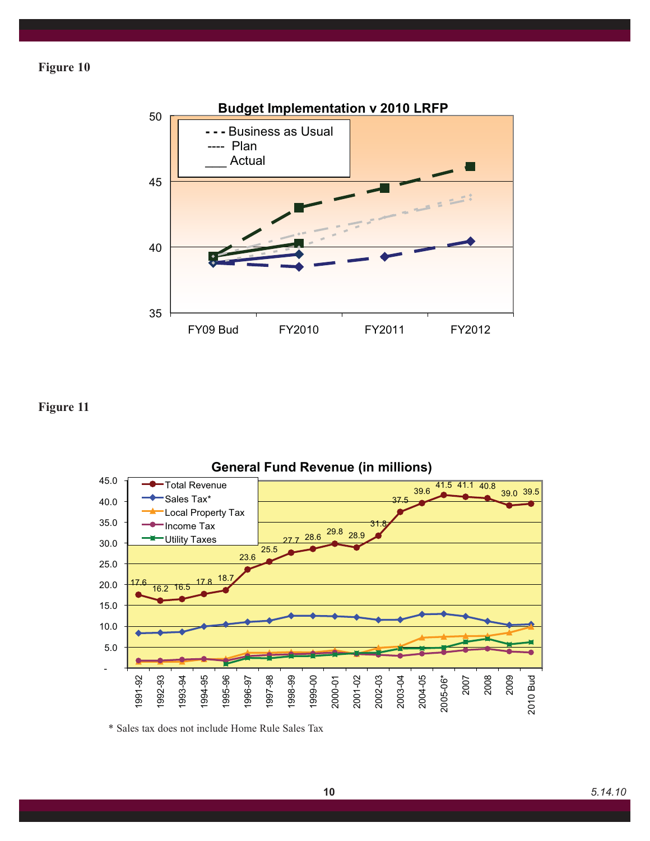

# **Figure 11**



**General Fund Revenue (in millions)**

\* Sales tax does not include Home Rule Sales Tax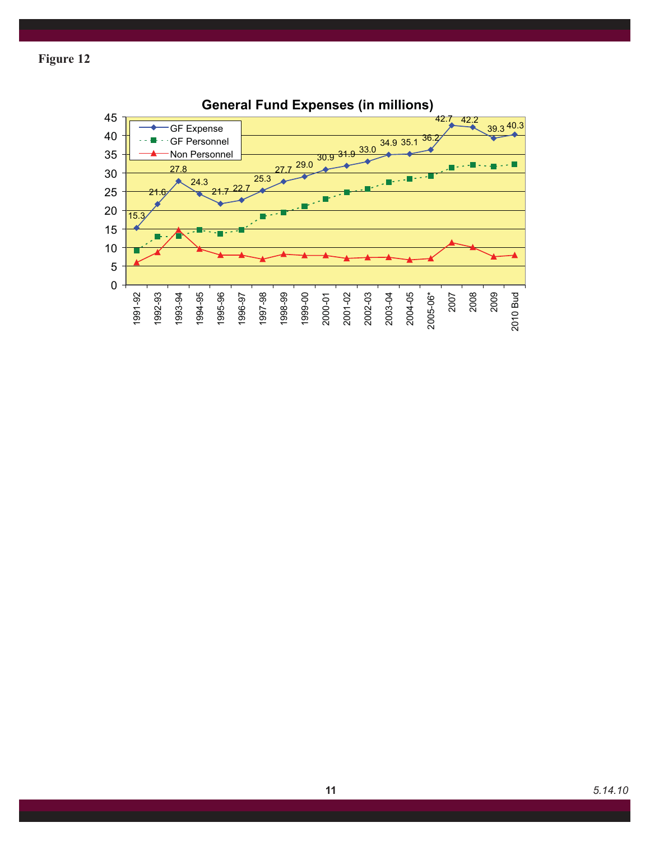

**General Fund Expenses (in millions)**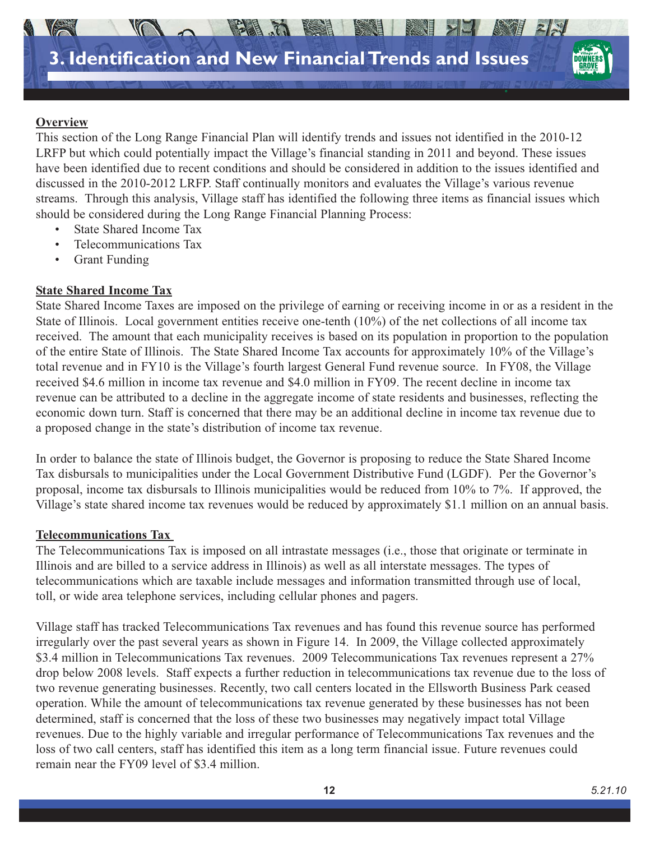

# **Overview**

This section of the Long Range Financial Plan will identify trends and issues not identified in the 2010-12 LRFP but which could potentially impact the Village's financial standing in 2011 and beyond. These issues have been identified due to recent conditions and should be considered in addition to the issues identified and discussed in the 2010-2012 LRFP. Staff continually monitors and evaluates the Village's various revenue streams. Through this analysis, Village staff has identified the following three items as financial issues which should be considered during the Long Range Financial Planning Process:

- State Shared Income Tax
- Telecommunications Tax
- Grant Funding

### **State Shared Income Tax**

State Shared Income Taxes are imposed on the privilege of earning or receiving income in or as a resident in the State of Illinois. Local government entities receive one-tenth (10%) of the net collections of all income tax received. The amount that each municipality receives is based on its population in proportion to the population of the entire State of Illinois. The State Shared Income Tax accounts for approximately 10% of the Village's total revenue and in FY10 is the Village's fourth largest General Fund revenue source. In FY08, the Village received \$4.6 million in income tax revenue and \$4.0 million in FY09. The recent decline in income tax revenue can be attributed to a decline in the aggregate income of state residents and businesses, reflecting the economic down turn. Staff is concerned that there may be an additional decline in income tax revenue due to a proposed change in the state's distribution of income tax revenue.

In order to balance the state of Illinois budget, the Governor is proposing to reduce the State Shared Income Tax disbursals to municipalities under the Local Government Distributive Fund (LGDF). Per the Governor's proposal, income tax disbursals to Illinois municipalities would be reduced from 10% to 7%. If approved, the Village's state shared income tax revenues would be reduced by approximately \$1.1 million on an annual basis.

### **Telecommunications Tax**

The Telecommunications Tax is imposed on all intrastate messages (i.e., those that originate or terminate in Illinois and are billed to a service address in Illinois) as well as all interstate messages. The types of telecommunications which are taxable include messages and information transmitted through use of local, toll, or wide area telephone services, including cellular phones and pagers.

Village staff has tracked Telecommunications Tax revenues and has found this revenue source has performed irregularly over the past several years as shown in Figure 14. In 2009, the Village collected approximately \$3.4 million in Telecommunications Tax revenues. 2009 Telecommunications Tax revenues represent a 27% drop below 2008 levels. Staff expects a further reduction in telecommunications tax revenue due to the loss of two revenue generating businesses. Recently, two call centers located in the Ellsworth Business Park ceased operation. While the amount of telecommunications tax revenue generated by these businesses has not been determined, staff is concerned that the loss of these two businesses may negatively impact total Village revenues. Due to the highly variable and irregular performance of Telecommunications Tax revenues and the loss of two call centers, staff has identified this item as a long term financial issue. Future revenues could remain near the FY09 level of \$3.4 million.